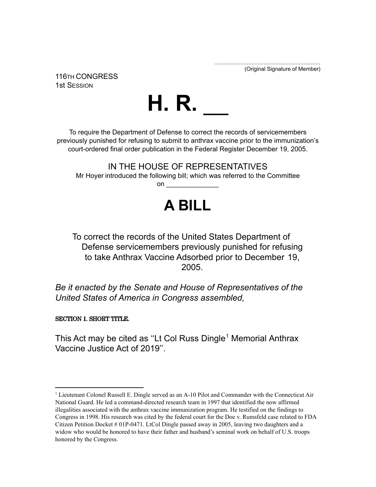..................................................................... (Original Signature of Member)

116TH CONGRESS 1st SESSION



To require the Department of Defense to correct the records of servicemembers previously punished for refusing to submit to anthrax vaccine prior to the immunization's court-ordered final order publication in the Federal Register December 19, 2005.

IN THE HOUSE OF REPRESENTATIVES Mr Hoyer introduced the following bill; which was referred to the Committee on \_\_\_\_\_\_\_\_\_\_\_\_\_\_

## **A BILL**

To correct the records of the United States Department of Defense servicemembers previously punished for refusing to take Anthrax Vaccine Adsorbed prior to December 19, 2005.

*Be it enacted by the Senate and House of Representatives of the United States of America in Congress assembled,*

SECTION 1. SHORT TITLE.

This Act may be cited as "Lt Col Russ Dingle<sup>1</sup> Memorial Anthrax Vaccine Justice Act of 2019''.

<sup>&</sup>lt;sup>1</sup> Lieutenant Colonel Russell E. Dingle served as an A-10 Pilot and Commander with the Connecticut Air National Guard. He led a command-directed research team in 1997 that identified the now affirmed illegalities associated with the anthrax vaccine immunization program. He testified on the findings to Congress in 1998. His research was cited by the federal court for the Doe v. Rumsfeld case related to FDA Citizen Petition Docket # 01P-0471. LtCol Dingle passed away in 2005, leaving two daughters and a widow who would be honored to have their father and husband's seminal work on behalf of U.S. troops honored by the Congress.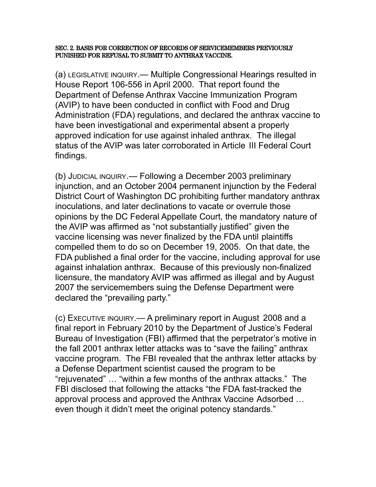SEC. 2. BASIS FOR CORRECTION OF RECORDS OF SERVICEMEMBERS PREVIOUSLY PUNISHED FOR REFUSAL TO SUBMIT TO ANTHRAX VACCINE.

(a) LEGISLATIVE INQUIRY.— Multiple Congressional Hearings resulted in House Report 106-556 in April 2000. That report found the Department of Defense Anthrax Vaccine Immunization Program (AVIP) to have been conducted in conflict with Food and Drug Administration (FDA) regulations, and declared the anthrax vaccine to have been investigational and experimental absent a properly approved indication for use against inhaled anthrax. The illegal status of the AVIP was later corroborated in Article III Federal Court findings.

(b) JUDICIAL INQUIRY.— Following a December 2003 preliminary injunction, and an October 2004 permanent injunction by the Federal District Court of Washington DC prohibiting further mandatory anthrax inoculations, and later declinations to vacate or overrule those opinions by the DC Federal Appellate Court, the mandatory nature of the AVIP was affirmed as "not substantially justified" given the vaccine licensing was never finalized by the FDA until plaintiffs compelled them to do so on December 19, 2005. On that date, the FDA published a final order for the vaccine, including approval for use against inhalation anthrax. Because of this previously non-finalized licensure, the mandatory AVIP was affirmed as illegal and by August 2007 the servicemembers suing the Defense Department were declared the "prevailing party."

(c) EXECUTIVE INQUIRY.— A preliminary report in August 2008 and a final report in February 2010 by the Department of Justice's Federal Bureau of Investigation (FBI) affirmed that the perpetrator's motive in the fall 2001 anthrax letter attacks was to "save the failing" anthrax vaccine program. The FBI revealed that the anthrax letter attacks by a Defense Department scientist caused the program to be "rejuvenated" … "within a few months of the anthrax attacks." The FBI disclosed that following the attacks "the FDA fast-tracked the approval process and approved the Anthrax Vaccine Adsorbed … even though it didn't meet the original potency standards."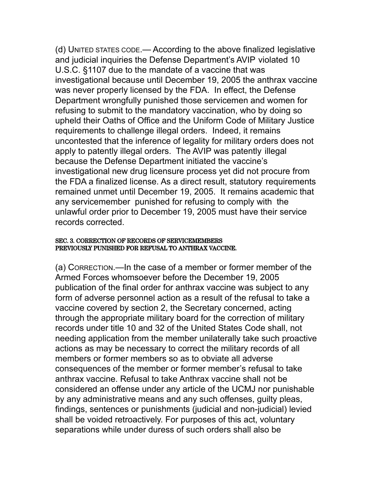(d) UNITED STATES CODE.— According to the above finalized legislative and judicial inquiries the Defense Department's AVIP violated 10 U.S.C. §1107 due to the mandate of a vaccine that was investigational because until December 19, 2005 the anthrax vaccine was never properly licensed by the FDA. In effect, the Defense Department wrongfully punished those servicemen and women for refusing to submit to the mandatory vaccination, who by doing so upheld their Oaths of Office and the Uniform Code of Military Justice requirements to challenge illegal orders. Indeed, it remains uncontested that the inference of legality for military orders does not apply to patently illegal orders. The AVIP was patently illegal because the Defense Department initiated the vaccine's investigational new drug licensure process yet did not procure from the FDA a finalized license. As a direct result, statutory requirements remained unmet until December 19, 2005. It remains academic that any servicemember punished for refusing to comply with the unlawful order prior to December 19, 2005 must have their service records corrected.

## SEC. 3. CORRECTION OF RECORDS OF SERVICEMEMBERS PREVIOUSLY PUNISHED FOR REFUSAL TO ANTHRAX VACCINE.

(a) CORRECTION.—In the case of a member or former member of the Armed Forces whomsoever before the December 19, 2005 publication of the final order for anthrax vaccine was subject to any form of adverse personnel action as a result of the refusal to take a vaccine covered by section 2, the Secretary concerned, acting through the appropriate military board for the correction of military records under title 10 and 32 of the United States Code shall, not needing application from the member unilaterally take such proactive actions as may be necessary to correct the military records of all members or former members so as to obviate all adverse consequences of the member or former member's refusal to take anthrax vaccine. Refusal to take Anthrax vaccine shall not be considered an offense under any article of the UCMJ nor punishable by any administrative means and any such offenses, guilty pleas, findings, sentences or punishments (judicial and non-judicial) levied shall be voided retroactively. For purposes of this act, voluntary separations while under duress of such orders shall also be